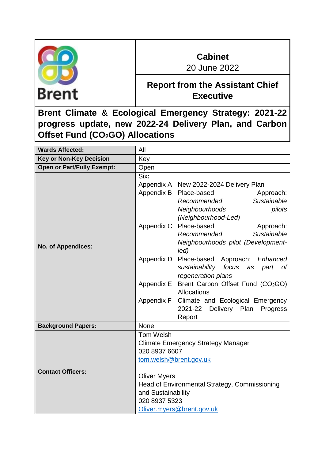

# **Cabinet**

20 June 2022

## **Report from the Assistant Chief Executive**

**Brent Climate & Ecological Emergency Strategy: 2021-22 progress update, new 2022-24 Delivery Plan, and Carbon Offset Fund (CO2GO) Allocations**

| <b>Wards Affected:</b>            | All                                                                                                                                                                       |  |
|-----------------------------------|---------------------------------------------------------------------------------------------------------------------------------------------------------------------------|--|
| <b>Key or Non-Key Decision</b>    | Key                                                                                                                                                                       |  |
| <b>Open or Part/Fully Exempt:</b> | Open                                                                                                                                                                      |  |
|                                   | Six:<br>Appendix A New 2022-2024 Delivery Plan<br>Appendix B<br>Place-based<br>Approach:<br>Sustainable<br>Recommended<br>pilots<br>Neighbourhoods<br>(Neighbourhood-Led) |  |
| <b>No. of Appendices:</b>         | Place-based<br>Appendix C<br>Approach:<br>Sustainable<br>Recommended<br>Neighbourhoods pilot (Development-<br>led)                                                        |  |
|                                   | Appendix D<br>Place-based Approach:<br>Enhanced<br>sustainability<br>focus<br>part<br>as<br>оf<br>regeneration plans                                                      |  |
|                                   | Appendix E<br>Brent Carbon Offset Fund (CO <sub>2</sub> GO)<br>Allocations                                                                                                |  |
|                                   | Appendix F<br>Climate and Ecological Emergency<br>2021-22<br>Delivery Plan<br>Progress<br>Report                                                                          |  |
| <b>Background Papers:</b>         | <b>None</b>                                                                                                                                                               |  |
|                                   | Tom Welsh<br><b>Climate Emergency Strategy Manager</b><br>020 8937 6607<br>tom.welsh@brent.gov.uk                                                                         |  |
| <b>Contact Officers:</b>          | <b>Oliver Myers</b><br>Head of Environmental Strategy, Commissioning<br>and Sustainability<br>020 8937 5323<br>Oliver.myers@brent.gov.uk                                  |  |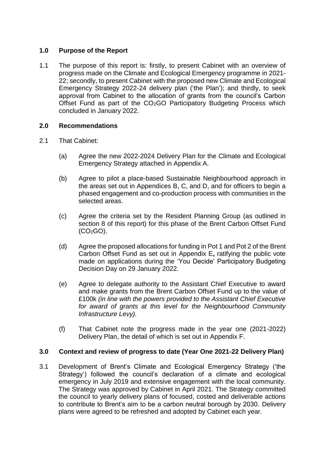## **1.0 Purpose of the Report**

1.1 The purpose of this report is: firstly, to present Cabinet with an overview of progress made on the Climate and Ecological Emergency programme in 2021- 22; secondly, to present Cabinet with the proposed new Climate and Ecological Emergency Strategy 2022-24 delivery plan ('the Plan'); and thirdly, to seek approval from Cabinet to the allocation of grants from the council's Carbon Offset Fund as part of the CO<sub>2</sub>GO Participatory Budgeting Process which concluded in January 2022.

#### **2.0 Recommendations**

- 2.1 That Cabinet:
	- (a) Agree the new 2022-2024 Delivery Plan for the Climate and Ecological Emergency Strategy attached in Appendix A.
	- (b) Agree to pilot a place-based Sustainable Neighbourhood approach in the areas set out in Appendices B, C, and D, and for officers to begin a phased engagement and co-production process with communities in the selected areas.
	- (c) Agree the criteria set by the Resident Planning Group (as outlined in section 8 of this report) for this phase of the Brent Carbon Offset Fund  $(CO<sub>2</sub>GO).$
	- (d) Agree the proposed allocations for funding in Pot 1 and Pot 2 of the Brent Carbon Offset Fund as set out in Appendix E**,** ratifying the public vote made on applications during the 'You Decide' Participatory Budgeting Decision Day on 29 January 2022.
	- (e) Agree to delegate authority to the Assistant Chief Executive to award and make grants from the Brent Carbon Offset Fund up to the value of £100k *(in line with the powers provided to the Assistant Chief Executive for award of grants at this level for the Neighbourhood Community Infrastructure Levy).*
	- (f) That Cabinet note the progress made in the year one (2021-2022) Delivery Plan, the detail of which is set out in Appendix F.

## **3.0 Context and review of progress to date (Year One 2021-22 Delivery Plan)**

3.1 Development of Brent's Climate and Ecological Emergency Strategy ('the Strategy') followed the council's declaration of a climate and ecological emergency in July 2019 and extensive engagement with the local community. The Strategy was approved by Cabinet in April 2021. The Strategy committed the council to yearly delivery plans of focused, costed and deliverable actions to contribute to Brent's aim to be a carbon neutral borough by 2030. Delivery plans were agreed to be refreshed and adopted by Cabinet each year.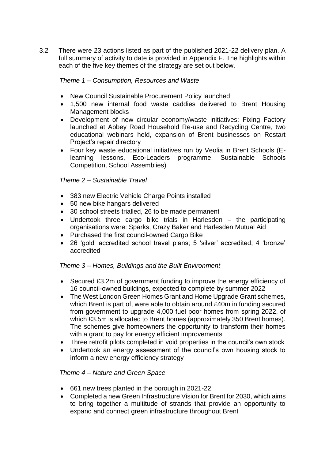3.2 There were 23 actions listed as part of the published 2021-22 delivery plan. A full summary of activity to date is provided in Appendix F. The highlights within each of the five key themes of the strategy are set out below.

## *Theme 1 – Consumption, Resources and Waste*

- New Council Sustainable Procurement Policy launched
- 1,500 new internal food waste caddies delivered to Brent Housing Management blocks
- Development of new circular economy/waste initiatives: Fixing Factory launched at Abbey Road Household Re-use and Recycling Centre, two educational webinars held, expansion of Brent businesses on Restart Project's repair directory
- Four key waste educational initiatives run by Veolia in Brent Schools (Elearning lessons, Eco-Leaders programme, Sustainable Schools Competition, School Assemblies)

## *Theme 2 – Sustainable Travel*

- 383 new Electric Vehicle Charge Points installed
- 50 new bike hangars delivered
- 30 school streets trialled, 26 to be made permanent
- Undertook three cargo bike trials in Harlesden the participating organisations were: Sparks, Crazy Baker and Harlesden Mutual Aid
- Purchased the first council-owned Cargo Bike
- 26 'gold' accredited school travel plans; 5 'silver' accredited; 4 'bronze' accredited

#### *Theme 3 – Homes, Buildings and the Built Environment*

- Secured £3.2m of government funding to improve the energy efficiency of 16 council-owned buildings, expected to complete by summer 2022
- The West London Green Homes Grant and Home Upgrade Grant schemes, which Brent is part of, were able to obtain around £40m in funding secured from government to upgrade 4,000 fuel poor homes from spring 2022, of which £3.5m is allocated to Brent homes (approximately 350 Brent homes). The schemes give homeowners the opportunity to transform their homes with a grant to pay for energy efficient improvements
- Three retrofit pilots completed in void properties in the council's own stock
- Undertook an energy assessment of the council's own housing stock to inform a new energy efficiency strategy

#### *Theme 4 – Nature and Green Space*

- 661 new trees planted in the borough in 2021-22
- Completed a new Green Infrastructure Vision for Brent for 2030, which aims to bring together a multitude of strands that provide an opportunity to expand and connect green infrastructure throughout Brent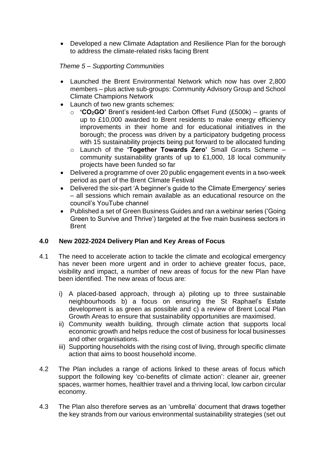• Developed a new Climate Adaptation and Resilience Plan for the borough to address the climate-related risks facing Brent

## *Theme 5 – Supporting Communities*

- Launched the Brent Environmental Network which now has over 2,800 members – plus active sub-groups: Community Advisory Group and School Climate Champions Network
- Launch of two new grants schemes:
	- o **'CO2GO'** Brent's resident-led Carbon Offset Fund (£500k) grants of up to £10,000 awarded to Brent residents to make energy efficiency improvements in their home and for educational initiatives in the borough; the process was driven by a participatory budgeting process with 15 sustainability projects being put forward to be allocated funding
	- o Launch of the **'Together Towards Zero'** Small Grants Scheme community sustainability grants of up to £1,000, 18 local community projects have been funded so far
- Delivered a programme of over 20 public engagement events in a two-week period as part of the Brent Climate Festival
- Delivered the six-part 'A beginner's guide to the Climate Emergency' series – all sessions which remain available as an educational resource on the council's YouTube channel
- Published a set of Green Business Guides and ran a webinar series ('Going Green to Survive and Thrive') targeted at the five main business sectors in Brent

## **4.0 New 2022-2024 Delivery Plan and Key Areas of Focus**

- 4.1 The need to accelerate action to tackle the climate and ecological emergency has never been more urgent and in order to achieve greater focus, pace, visibility and impact, a number of new areas of focus for the new Plan have been identified. The new areas of focus are:
	- i) A placed-based approach, through a) piloting up to three sustainable neighbourhoods b) a focus on ensuring the St Raphael's Estate development is as green as possible and c) a review of Brent Local Plan Growth Areas to ensure that sustainability opportunities are maximised.
	- ii) Community wealth building, through climate action that supports local economic growth and helps reduce the cost of business for local businesses and other organisations.
	- iii) Supporting households with the rising cost of living, through specific climate action that aims to boost household income.
- 4.2 The Plan includes a range of actions linked to these areas of focus which support the following key 'co-benefits of climate action': cleaner air, greener spaces, warmer homes, healthier travel and a thriving local, low carbon circular economy.
- 4.3 The Plan also therefore serves as an 'umbrella' document that draws together the key strands from our various environmental sustainability strategies (set out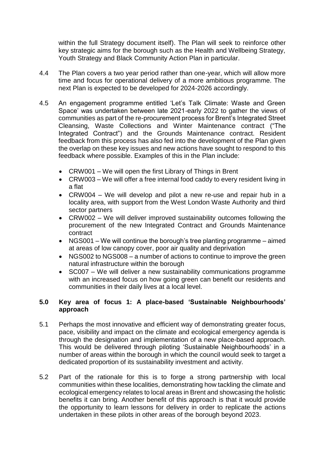within the full Strategy document itself). The Plan will seek to reinforce other key strategic aims for the borough such as the Health and Wellbeing Strategy, Youth Strategy and Black Community Action Plan in particular.

- 4.4 The Plan covers a two year period rather than one-year, which will allow more time and focus for operational delivery of a more ambitious programme. The next Plan is expected to be developed for 2024-2026 accordingly.
- 4.5 An engagement programme entitled 'Let's Talk Climate: Waste and Green Space' was undertaken between late 2021-early 2022 to gather the views of communities as part of the re-procurement process for Brent's Integrated Street Cleansing, Waste Collections and Winter Maintenance contract ("The Integrated Contract") and the Grounds Maintenance contract. Resident feedback from this process has also fed into the development of the Plan given the overlap on these key issues and new actions have sought to respond to this feedback where possible. Examples of this in the Plan include:
	- CRW001 We will open the first Library of Things in Brent
	- CRW003 We will offer a free internal food caddy to every resident living in a flat
	- CRW004 We will develop and pilot a new re-use and repair hub in a locality area, with support from the West London Waste Authority and third sector partners
	- CRW002 We will deliver improved sustainability outcomes following the procurement of the new Integrated Contract and Grounds Maintenance contract
	- NGS001 We will continue the borough's tree planting programme aimed at areas of low canopy cover, poor air quality and deprivation
	- NGS002 to NGS008 a number of actions to continue to improve the green natural infrastructure within the borough
	- SC007 We will deliver a new sustainability communications programme with an increased focus on how going green can benefit our residents and communities in their daily lives at a local level.

#### **5.0 Key area of focus 1: A place-based 'Sustainable Neighbourhoods' approach**

- 5.1 Perhaps the most innovative and efficient way of demonstrating greater focus, pace, visibility and impact on the climate and ecological emergency agenda is through the designation and implementation of a new place-based approach. This would be delivered through piloting 'Sustainable Neighbourhoods' in a number of areas within the borough in which the council would seek to target a dedicated proportion of its sustainability investment and activity.
- 5.2 Part of the rationale for this is to forge a strong partnership with local communities within these localities, demonstrating how tackling the climate and ecological emergency relates to local areas in Brent and showcasing the holistic benefits it can bring. Another benefit of this approach is that it would provide the opportunity to learn lessons for delivery in order to replicate the actions undertaken in these pilots in other areas of the borough beyond 2023.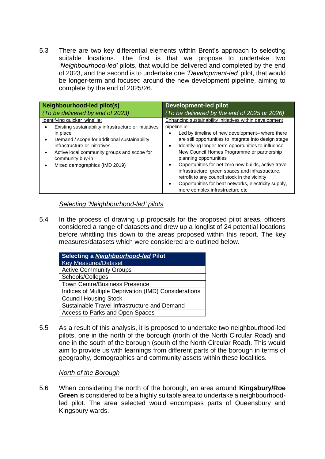5.3 There are two key differential elements within Brent's approach to selecting suitable locations. The first is that we propose to undertake two *'Neighbourhood-led'* pilots, that would be delivered and completed by the end of 2023, and the second is to undertake one *'Development-led'* pilot, that would be longer-term and focused around the new development pipeline, aiming to complete by the end of 2025/26.

| Neighbourhood-led pilot(s)                                                                                                                                                                                                                                                               | Development-led pilot                                                                                                                                                                                                                                                                                                                                                                                                                                                                                                                                                                                             |
|------------------------------------------------------------------------------------------------------------------------------------------------------------------------------------------------------------------------------------------------------------------------------------------|-------------------------------------------------------------------------------------------------------------------------------------------------------------------------------------------------------------------------------------------------------------------------------------------------------------------------------------------------------------------------------------------------------------------------------------------------------------------------------------------------------------------------------------------------------------------------------------------------------------------|
| (To be delivered by end of 2023)                                                                                                                                                                                                                                                         | (To be delivered by the end of 2025 or 2026)                                                                                                                                                                                                                                                                                                                                                                                                                                                                                                                                                                      |
| Identifying quicker 'wins' ie:<br>Existing sustainability infrastructure or initiatives<br>in place<br>Demand / scope for additional sustainability<br>infrastructure or initiatives<br>Active local community groups and scope for<br>community buy-in<br>Mixed demographics (IMD 2019) | Enhancing sustainability initiatives within development<br>pipeline ie:<br>Led by timeline of new development- where there<br>are still opportunities to integrate into design stage<br>Identifying longer-term opportunities to influence<br>$\bullet$<br>New Council Homes Programme or partnership<br>planning opportunities<br>Opportunities for net zero new builds, active travel<br>$\bullet$<br>infrastructure, green spaces and infrastructure,<br>retrofit to any council stock in the vicinity<br>Opportunities for heat networks, electricity supply,<br>$\bullet$<br>more complex infrastructure etc |

#### *Selecting 'Neighbourhood-led' pilots*

5.4 In the process of drawing up proposals for the proposed pilot areas, officers considered a range of datasets and drew up a longlist of 24 potential locations before whittling this down to the areas proposed within this report. The key measures/datasets which were considered are outlined below.

| Selecting a Neighbourhood-led Pilot                  |  |  |
|------------------------------------------------------|--|--|
| <b>Key Measures/Dataset</b>                          |  |  |
| <b>Active Community Groups</b>                       |  |  |
| Schools/Colleges                                     |  |  |
| <b>Town Centre/Business Presence</b>                 |  |  |
| Indices of Multiple Deprivation (IMD) Considerations |  |  |
| <b>Council Housing Stock</b>                         |  |  |
| Sustainable Travel Infrastructure and Demand         |  |  |
| Access to Parks and Open Spaces                      |  |  |

5.5 As a result of this analysis, it is proposed to undertake two neighbourhood-led pilots, one in the north of the borough (north of the North Circular Road) and one in the south of the borough (south of the North Circular Road). This would aim to provide us with learnings from different parts of the borough in terms of geography, demographics and community assets within these localities.

#### *North of the Borough*

5.6 When considering the north of the borough, an area around **Kingsbury/Roe Green** is considered to be a highly suitable area to undertake a neighbourhoodled pilot. The area selected would encompass parts of Queensbury and Kingsbury wards.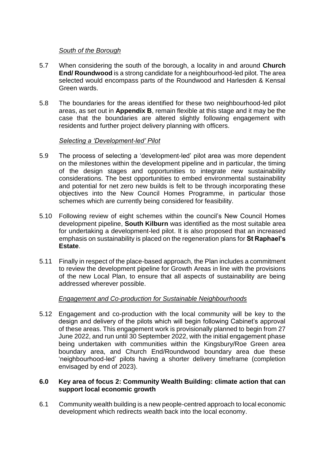#### *South of the Borough*

- 5.7 When considering the south of the borough, a locality in and around **Church End/ Roundwood** is a strong candidate for a neighbourhood-led pilot. The area selected would encompass parts of the Roundwood and Harlesden & Kensal Green wards.
- 5.8 The boundaries for the areas identified for these two neighbourhood-led pilot areas, as set out in **Appendix B**, remain flexible at this stage and it may be the case that the boundaries are altered slightly following engagement with residents and further project delivery planning with officers.

## *Selecting a 'Development-led' Pilot*

- 5.9 The process of selecting a 'development-led' pilot area was more dependent on the milestones within the development pipeline and in particular, the timing of the design stages and opportunities to integrate new sustainability considerations. The best opportunities to embed environmental sustainability and potential for net zero new builds is felt to be through incorporating these objectives into the New Council Homes Programme, in particular those schemes which are currently being considered for feasibility.
- 5.10 Following review of eight schemes within the council's New Council Homes development pipeline, **South Kilburn** was identified as the most suitable area for undertaking a development-led pilot. It is also proposed that an increased emphasis on sustainability is placed on the regeneration plans for **St Raphael's Estate**.
- 5.11 Finally in respect of the place-based approach, the Plan includes a commitment to review the development pipeline for Growth Areas in line with the provisions of the new Local Plan, to ensure that all aspects of sustainability are being addressed wherever possible.

## *Engagement and Co-production for Sustainable Neighbourhoods*

5.12 Engagement and co-production with the local community will be key to the design and delivery of the pilots which will begin following Cabinet's approval of these areas. This engagement work is provisionally planned to begin from 27 June 2022, and run until 30 September 2022, with the initial engagement phase being undertaken with communities within the Kingsbury/Roe Green area boundary area, and Church End/Roundwood boundary area due these 'neighbourhood-led' pilots having a shorter delivery timeframe (completion envisaged by end of 2023).

#### **6.0 Key area of focus 2: Community Wealth Building: climate action that can support local economic growth**

6.1 Community wealth building is a new people-centred approach to local economic development which redirects wealth back into the local economy.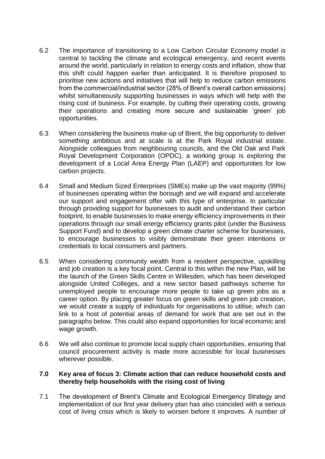- 6.2 The importance of transitioning to a Low Carbon Circular Economy model is central to tackling the climate and ecological emergency, and recent events around the world, particularly in relation to energy costs and inflation, show that this shift could happen earlier than anticipated. It is therefore proposed to prioritise new actions and initiatives that will help to reduce carbon emissions from the commercial/industrial sector (28% of Brent's overall carbon emissions) whilst simultaneously supporting businesses in ways which will help with the rising cost of business. For example, by cutting their operating costs, growing their operations and creating more secure and sustainable 'green' job opportunities.
- 6.3 When considering the business make-up of Brent, the big opportunity to deliver something ambitious and at scale is at the Park Royal industrial estate. Alongside colleagues from neighbouring councils, and the Old Oak and Park Royal Development Corporation (OPDC), a working group is exploring the development of a Local Area Energy Plan (LAEP) and opportunities for low carbon projects.
- 6.4 Small and Medium Sized Enterprises (SMEs) make up the vast majority (99%) of businesses operating within the borough and we will expand and accelerate our support and engagement offer with this type of enterprise. In particular through providing support for businesses to audit and understand their carbon footprint, to enable businesses to make energy efficiency improvements in their operations through our small energy efficiency grants pilot (under the Business Support Fund) and to develop a green climate charter scheme for businesses, to encourage businesses to visibly demonstrate their green intentions or credentials to local consumers and partners.
- 6.5 When considering community wealth from a resident perspective, upskilling and job creation is a key focal point. Central to this within the new Plan, will be the launch of the Green Skills Centre in Willesden, which has been developed alongside United Colleges, and a new sector based pathways scheme for unemployed people to encourage more people to take up green jobs as a career option. By placing greater focus on green skills and green job creation, we would create a supply of individuals for organisations to utilise, which can link to a host of potential areas of demand for work that are set out in the paragraphs below. This could also expand opportunities for local economic and wage growth.
- 6.6 We will also continue to promote local supply chain opportunities, ensuring that council procurement activity is made more accessible for local businesses wherever possible.

#### **7.0 Key area of focus 3: Climate action that can reduce household costs and thereby help households with the rising cost of living**

7.1 The development of Brent's Climate and Ecological Emergency Strategy and implementation of our first year delivery plan has also coincided with a serious cost of living crisis which is likely to worsen before it improves. A number of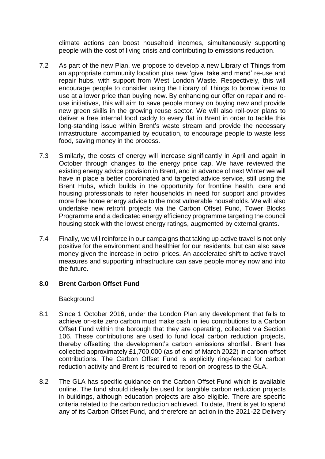climate actions can boost household incomes, simultaneously supporting people with the cost of living crisis and contributing to emissions reduction.

- 7.2 As part of the new Plan, we propose to develop a new Library of Things from an appropriate community location plus new 'give, take and mend' re-use and repair hubs, with support from West London Waste. Respectively, this will encourage people to consider using the Library of Things to borrow items to use at a lower price than buying new. By enhancing our offer on repair and reuse initiatives, this will aim to save people money on buying new and provide new green skills in the growing reuse sector. We will also roll-over plans to deliver a free internal food caddy to every flat in Brent in order to tackle this long-standing issue within Brent's waste stream and provide the necessary infrastructure, accompanied by education, to encourage people to waste less food, saving money in the process.
- 7.3 Similarly, the costs of energy will increase significantly in April and again in October through changes to the energy price cap. We have reviewed the existing energy advice provision in Brent, and in advance of next Winter we will have in place a better coordinated and targeted advice service, still using the Brent Hubs, which builds in the opportunity for frontline health, care and housing professionals to refer households in need for support and provides more free home energy advice to the most vulnerable households. We will also undertake new retrofit projects via the Carbon Offset Fund, Tower Blocks Programme and a dedicated energy efficiency programme targeting the council housing stock with the lowest energy ratings, augmented by external grants.
- 7.4 Finally, we will reinforce in our campaigns that taking up active travel is not only positive for the environment and healthier for our residents, but can also save money given the increase in petrol prices. An accelerated shift to active travel measures and supporting infrastructure can save people money now and into the future.

#### **8.0 Brent Carbon Offset Fund**

#### Background

- 8.1 Since 1 October 2016, under the London Plan any development that fails to achieve on-site zero carbon must make cash in lieu contributions to a Carbon Offset Fund within the borough that they are operating, collected via Section 106. These contributions are used to fund local carbon reduction projects, thereby offsetting the development's carbon emissions shortfall. Brent has collected approximately £1,700,000 (as of end of March 2022) in carbon-offset contributions. The Carbon Offset Fund is explicitly ring-fenced for carbon reduction activity and Brent is required to report on progress to the GLA.
- 8.2 The GLA has specific guidance on the Carbon Offset Fund which is available online. The fund should ideally be used for tangible carbon reduction projects in buildings, although education projects are also eligible. There are specific criteria related to the carbon reduction achieved. To date, Brent is yet to spend any of its Carbon Offset Fund, and therefore an action in the 2021-22 Delivery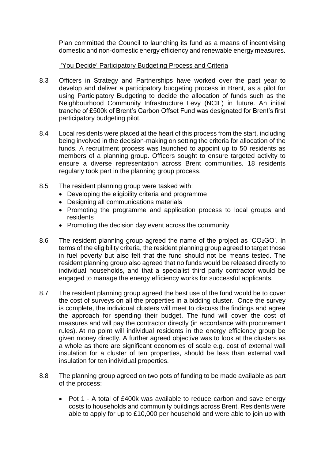Plan committed the Council to launching its fund as a means of incentivising domestic and non-domestic energy efficiency and renewable energy measures.

## 'You Decide' Participatory Budgeting Process and Criteria

- 8.3 Officers in Strategy and Partnerships have worked over the past year to develop and deliver a participatory budgeting process in Brent, as a pilot for using Participatory Budgeting to decide the allocation of funds such as the Neighbourhood Community Infrastructure Levy (NCIL) in future. An initial tranche of £500k of Brent's Carbon Offset Fund was designated for Brent's first participatory budgeting pilot.
- 8.4 Local residents were placed at the heart of this process from the start, including being involved in the decision-making on setting the criteria for allocation of the funds. A recruitment process was launched to appoint up to 50 residents as members of a planning group. Officers sought to ensure targeted activity to ensure a diverse representation across Brent communities. 18 residents regularly took part in the planning group process.
- 8.5 The resident planning group were tasked with:
	- Developing the eligibility criteria and programme
	- Designing all communications materials
	- Promoting the programme and application process to local groups and residents
	- Promoting the decision day event across the community
- 8.6 The resident planning group agreed the name of the project as 'CO<sub>2</sub>GO'. In terms of the eligibility criteria, the resident planning group agreed to target those in fuel poverty but also felt that the fund should not be means tested. The resident planning group also agreed that no funds would be released directly to individual households, and that a specialist third party contractor would be engaged to manage the energy efficiency works for successful applicants.
- 8.7 The resident planning group agreed the best use of the fund would be to cover the cost of surveys on all the properties in a bidding cluster. Once the survey is complete, the individual clusters will meet to discuss the findings and agree the approach for spending their budget. The fund will cover the cost of measures and will pay the contractor directly (in accordance with procurement rules). At no point will individual residents in the energy efficiency group be given money directly. A further agreed objective was to look at the clusters as a whole as there are significant economies of scale e.g. cost of external wall insulation for a cluster of ten properties, should be less than external wall insulation for ten individual properties.
- 8.8 The planning group agreed on two pots of funding to be made available as part of the process:
	- Pot 1 A total of £400k was available to reduce carbon and save energy costs to households and community buildings across Brent. Residents were able to apply for up to £10,000 per household and were able to join up with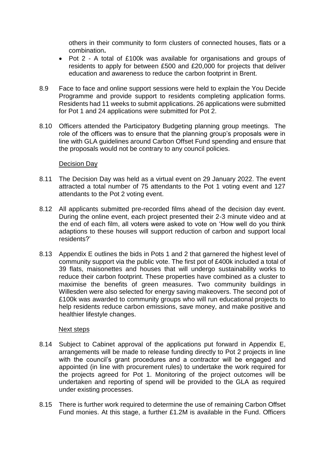others in their community to form clusters of connected houses, flats or a combination**.**

- Pot 2 A total of £100k was available for organisations and groups of residents to apply for between £500 and £20,000 for projects that deliver education and awareness to reduce the carbon footprint in Brent.
- 8.9 Face to face and online support sessions were held to explain the You Decide Programme and provide support to residents completing application forms. Residents had 11 weeks to submit applications. 26 applications were submitted for Pot 1 and 24 applications were submitted for Pot 2.
- 8.10 Officers attended the Participatory Budgeting planning group meetings. The role of the officers was to ensure that the planning group's proposals were in line with GLA guidelines around Carbon Offset Fund spending and ensure that the proposals would not be contrary to any council policies.

#### Decision Day

- 8.11 The Decision Day was held as a virtual event on 29 January 2022. The event attracted a total number of 75 attendants to the Pot 1 voting event and 127 attendants to the Pot 2 voting event.
- 8.12 All applicants submitted pre-recorded films ahead of the decision day event. During the online event, each project presented their 2-3 minute video and at the end of each film, all voters were asked to vote on 'How well do you think adaptions to these houses will support reduction of carbon and support local residents?'
- 8.13 Appendix E outlines the bids in Pots 1 and 2 that garnered the highest level of community support via the public vote. The first pot of £400k included a total of 39 flats, maisonettes and houses that will undergo sustainability works to reduce their carbon footprint. These properties have combined as a cluster to maximise the benefits of green measures. Two community buildings in Willesden were also selected for energy saving makeovers. The second pot of £100k was awarded to community groups who will run educational projects to help residents reduce carbon emissions, save money, and make positive and healthier lifestyle changes.

#### Next steps

- 8.14 Subject to Cabinet approval of the applications put forward in Appendix E, arrangements will be made to release funding directly to Pot 2 projects in line with the council's grant procedures and a contractor will be engaged and appointed (in line with procurement rules) to undertake the work required for the projects agreed for Pot 1. Monitoring of the project outcomes will be undertaken and reporting of spend will be provided to the GLA as required under existing processes.
- 8.15 There is further work required to determine the use of remaining Carbon Offset Fund monies. At this stage, a further £1.2M is available in the Fund. Officers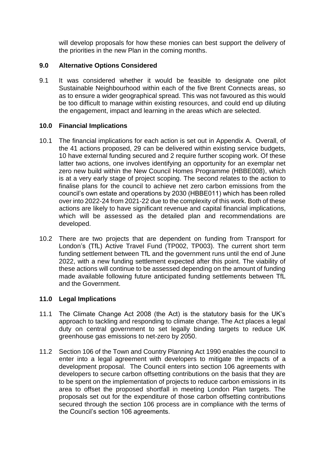will develop proposals for how these monies can best support the delivery of the priorities in the new Plan in the coming months.

## **9.0 Alternative Options Considered**

9.1 It was considered whether it would be feasible to designate one pilot Sustainable Neighbourhood within each of the five Brent Connects areas, so as to ensure a wider geographical spread. This was not favoured as this would be too difficult to manage within existing resources, and could end up diluting the engagement, impact and learning in the areas which are selected.

## **10.0 Financial Implications**

- 10.1 The financial implications for each action is set out in Appendix A. Overall, of the 41 actions proposed, 29 can be delivered within existing service budgets, 10 have external funding secured and 2 require further scoping work. Of these latter two actions, one involves identifying an opportunity for an exemplar net zero new build within the New Council Homes Programme (HBBE008), which is at a very early stage of project scoping. The second relates to the action to finalise plans for the council to achieve net zero carbon emissions from the council's own estate and operations by 2030 (HBBE011) which has been rolled over into 2022-24 from 2021-22 due to the complexity of this work. Both of these actions are likely to have significant revenue and capital financial implications, which will be assessed as the detailed plan and recommendations are developed.
- 10.2 There are two projects that are dependent on funding from Transport for London's (TfL) Active Travel Fund (TP002, TP003). The current short term funding settlement between TfL and the government runs until the end of June 2022, with a new funding settlement expected after this point. The viability of these actions will continue to be assessed depending on the amount of funding made available following future anticipated funding settlements between TfL and the Government.

#### **11.0 Legal Implications**

- 11.1 The Climate Change Act 2008 (the Act) is the statutory basis for the UK's approach to tackling and responding to climate change. The Act places a legal duty on central government to set legally binding targets to reduce UK greenhouse gas emissions to net-zero by 2050.
- 11.2 Section 106 of the Town and Country Planning Act 1990 enables the council to enter into a legal agreement with developers to mitigate the impacts of a development proposal. The Council enters into section 106 agreements with developers to secure carbon offsetting contributions on the basis that they are to be spent on the implementation of projects to reduce carbon emissions in its area to offset the proposed shortfall in meeting London Plan targets. The proposals set out for the expenditure of those carbon offsetting contributions secured through the section 106 process are in compliance with the terms of the Council's section 106 agreements.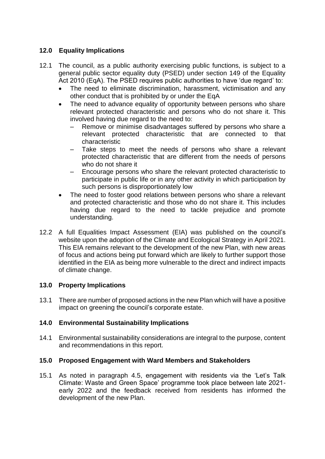## **12.0 Equality Implications**

- 12.1 The council, as a public authority exercising public functions, is subject to a general public sector equality duty (PSED) under section 149 of the Equality Act 2010 (EqA). The PSED requires public authorities to have 'due regard' to:
	- The need to eliminate discrimination, harassment, victimisation and any other conduct that is prohibited by or under the EqA
	- The need to advance equality of opportunity between persons who share relevant protected characteristic and persons who do not share it. This involved having due regard to the need to:
		- Remove or minimise disadvantages suffered by persons who share a relevant protected characteristic that are connected to that characteristic
		- Take steps to meet the needs of persons who share a relevant protected characteristic that are different from the needs of persons who do not share it
		- ‒ Encourage persons who share the relevant protected characteristic to participate in public life or in any other activity in which participation by such persons is disproportionately low
	- The need to foster good relations between persons who share a relevant and protected characteristic and those who do not share it. This includes having due regard to the need to tackle prejudice and promote understanding.
- 12.2 A full Equalities Impact Assessment (EIA) was published on the council's website upon the adoption of the Climate and Ecological Strategy in April 2021. This EIA remains relevant to the development of the new Plan, with new areas of focus and actions being put forward which are likely to further support those identified in the EIA as being more vulnerable to the direct and indirect impacts of climate change.

## **13.0 Property Implications**

13.1 There are number of proposed actions in the new Plan which will have a positive impact on greening the council's corporate estate.

## **14.0 Environmental Sustainability Implications**

14.1 Environmental sustainability considerations are integral to the purpose, content and recommendations in this report.

## **15.0 Proposed Engagement with Ward Members and Stakeholders**

15.1 As noted in paragraph 4.5, engagement with residents via the 'Let's Talk Climate: Waste and Green Space' programme took place between late 2021 early 2022 and the feedback received from residents has informed the development of the new Plan.